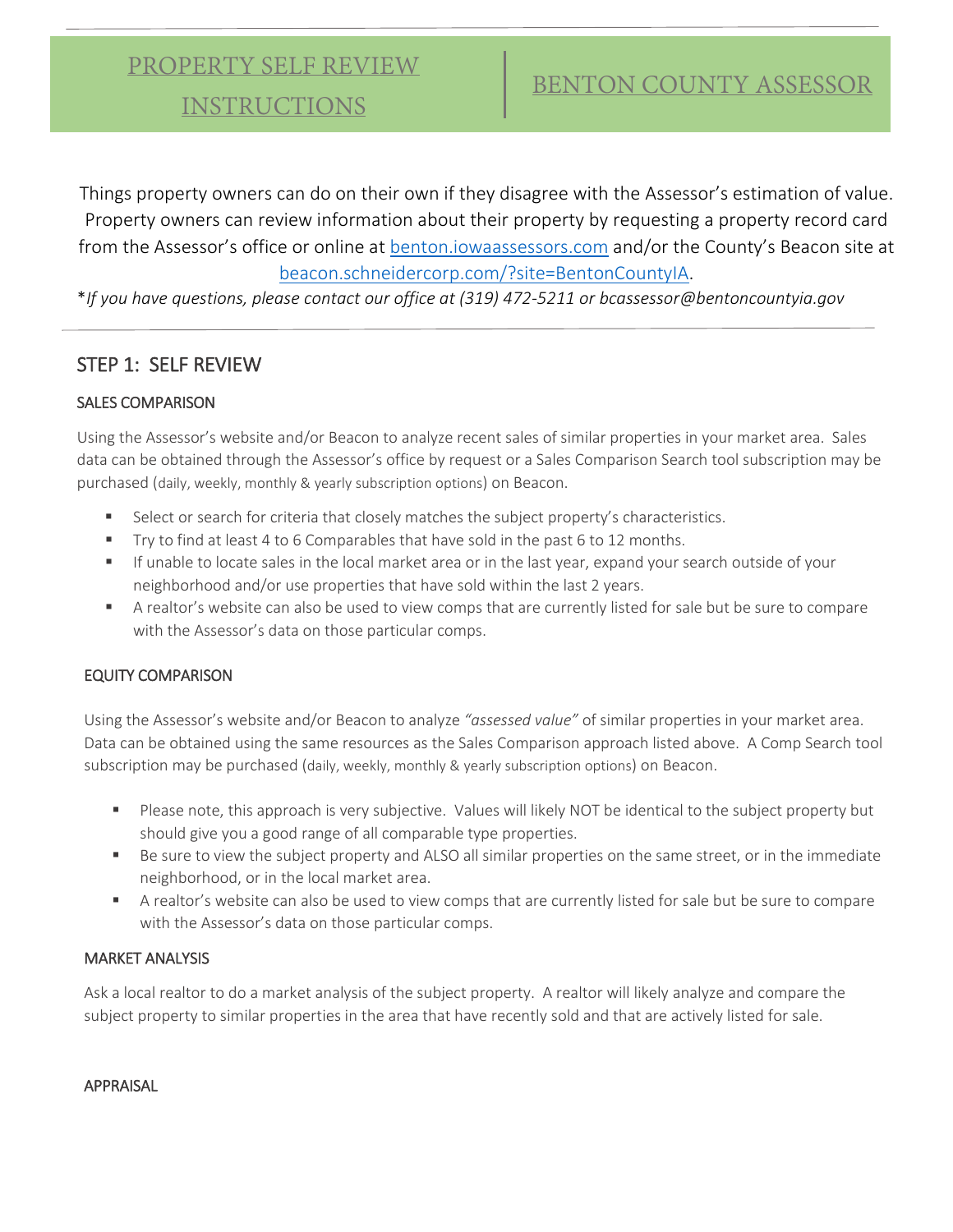INSTRUCTIONS

Things property owners can do on their own if they disagree with the Assessor's estimation of value. Property owners can review information about their property by requesting a property record card from the Assessor's office or online at [benton.iowaassessors.com](https://benton.iowaassessors.com/search.php) and/or the County's Beacon site at [beacon.schneidercorp.com/?site=BentonCountyIA.](https://beacon.schneidercorp.com/?site=BentonCountyIA)

\**If you have questions, please contact our office at (319) 472-5211 or bcassessor@bentoncountyia.gov*

### STEP 1: SELF REVIEW

### SALES COMPARISON

Using the Assessor's website and/or Beacon to analyze recent sales of similar properties in your market area. Sales data can be obtained through the Assessor's office by request or a Sales Comparison Search tool subscription may be purchased (daily, weekly, monthly & yearly subscription options) on Beacon.

- Select or search for criteria that closely matches the subject property's characteristics.
- Try to find at least 4 to 6 Comparables that have sold in the past 6 to 12 months.
- If unable to locate sales in the local market area or in the last year, expand your search outside of your neighborhood and/or use properties that have sold within the last 2 years.
- A realtor's website can also be used to view comps that are currently listed for sale but be sure to compare with the Assessor's data on those particular comps.

#### EQUITY COMPARISON

Using the Assessor's website and/or Beacon to analyze *"assessed value"* of similar properties in your market area. Data can be obtained using the same resources as the Sales Comparison approach listed above. A Comp Search tool subscription may be purchased (daily, weekly, monthly & yearly subscription options) on Beacon.

- Please note, this approach is very subjective. Values will likely NOT be identical to the subject property but should give you a good range of all comparable type properties.
- Be sure to view the subject property and ALSO all similar properties on the same street, or in the immediate neighborhood, or in the local market area.
- A realtor's website can also be used to view comps that are currently listed for sale but be sure to compare with the Assessor's data on those particular comps.

#### MARKET ANALYSIS

Ask a local realtor to do a market analysis of the subject property. A realtor will likely analyze and compare the subject property to similar properties in the area that have recently sold and that are actively listed for sale.

#### APPRAISAL